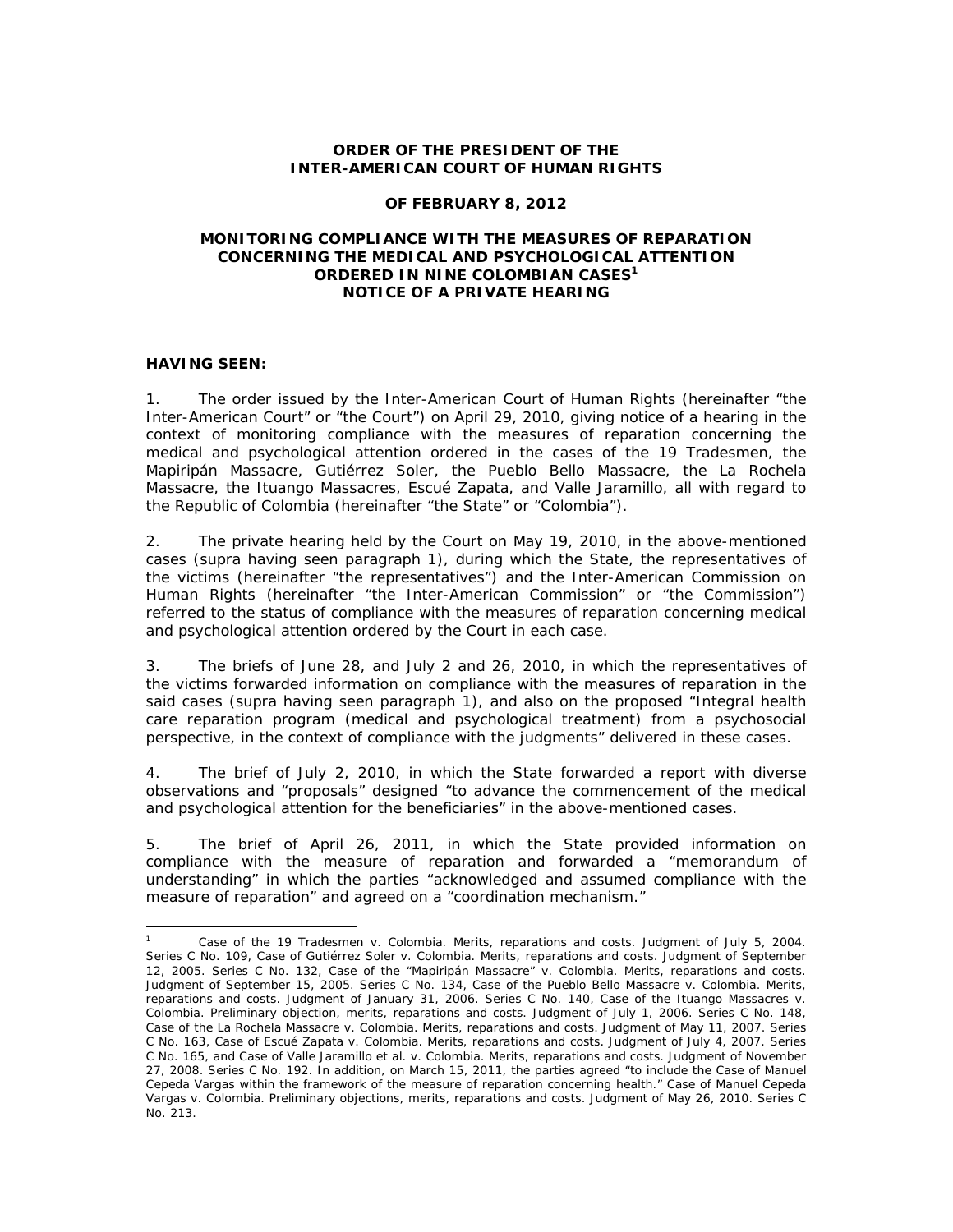## **ORDER OF THE PRESIDENT OF THE INTER-AMERICAN COURT OF HUMAN RIGHTS**

#### **OF FEBRUARY 8, 2012**

## **MONITORING COMPLIANCE WITH THE MEASURES OF REPARATION CONCERNING THE MEDICAL AND PSYCHOLOGICAL ATTENTION ORDERED IN NINE COLOMBIAN CASES1 NOTICE OF A PRIVATE HEARING**

#### **HAVING SEEN:**

 $\overline{a}$ 

1. The order issued by the Inter-American Court of Human Rights (hereinafter "the Inter-American Court" or "the Court") on April 29, 2010, giving notice of a hearing in the context of monitoring compliance with the measures of reparation concerning the medical and psychological attention ordered in the cases of the 19 Tradesmen, the Mapiripán Massacre, Gutiérrez Soler, the Pueblo Bello Massacre, the La Rochela Massacre, the Ituango Massacres, Escué Zapata, and Valle Jaramillo, all with regard to the Republic of Colombia (hereinafter "the State" or "Colombia").

2. The private hearing held by the Court on May 19, 2010, in the above-mentioned cases (*supra* having seen paragraph 1), during which the State, the representatives of the victims (hereinafter "the representatives") and the Inter-American Commission on Human Rights (hereinafter "the Inter-American Commission" or "the Commission") referred to the status of compliance with the measures of reparation concerning medical and psychological attention ordered by the Court in each case.

3. The briefs of June 28, and July 2 and 26, 2010, in which the representatives of the victims forwarded information on compliance with the measures of reparation in the said cases (*supra* having seen paragraph 1), and also on the proposed "Integral health care reparation program (medical and psychological treatment) from a psychosocial perspective, in the context of compliance with the judgments" delivered in these cases.

4. The brief of July 2, 2010, in which the State forwarded a report with diverse observations and "proposals" designed "to advance the commencement of the medical and psychological attention for the beneficiaries" in the above-mentioned cases.

5. The brief of April 26, 2011, in which the State provided information on compliance with the measure of reparation and forwarded a "memorandum of understanding" in which the parties "acknowledged and assumed compliance with the measure of reparation" and agreed on a "coordination mechanism."

<sup>1</sup> *Case of the 19 Tradesmen v. Colombia. Merits, reparations and costs*. Judgment of July 5, 2004. Series C No. 109, *Case of Gutiérrez Soler v. Colombia. Merits, reparations and costs*. Judgment of September 12, 2005. Series C No. 132, *Case of the "Mapiripán Massacre" v. Colombia. Merits, reparations and costs*. Judgment of September 15, 2005. Series C No. 134, *Case of the Pueblo Bello Massacre v. Colombia. Merits, reparations and costs.* Judgment of January 31, 2006. Series C No. 140, *Case of the Ituango Massacres v. Colombia. Preliminary objection, merits, reparations and costs*. Judgment of July 1, 2006. Series C No. 148, *Case of the La Rochela Massacre v. Colombia. Merits, reparations and costs.* Judgment of May 11, 2007. Series C No. 163, *Case of Escué Zapata v. Colombia. Merits, reparations and costs.* Judgment of July 4, 2007. Series C No. 165, and *Case of Valle Jaramillo et al. v. Colombia. Merits, reparations and costs.* Judgment of November 27, 2008. Series C No. 192. In addition, on March 15, 2011, the parties agreed "to include the Case of Manuel Cepeda Vargas within the framework of the measure of reparation concerning health." *Case of Manuel Cepeda Vargas v. Colombia.* Preliminary objections, merits, reparations and costs. Judgment of May 26, 2010. Series C No. 213.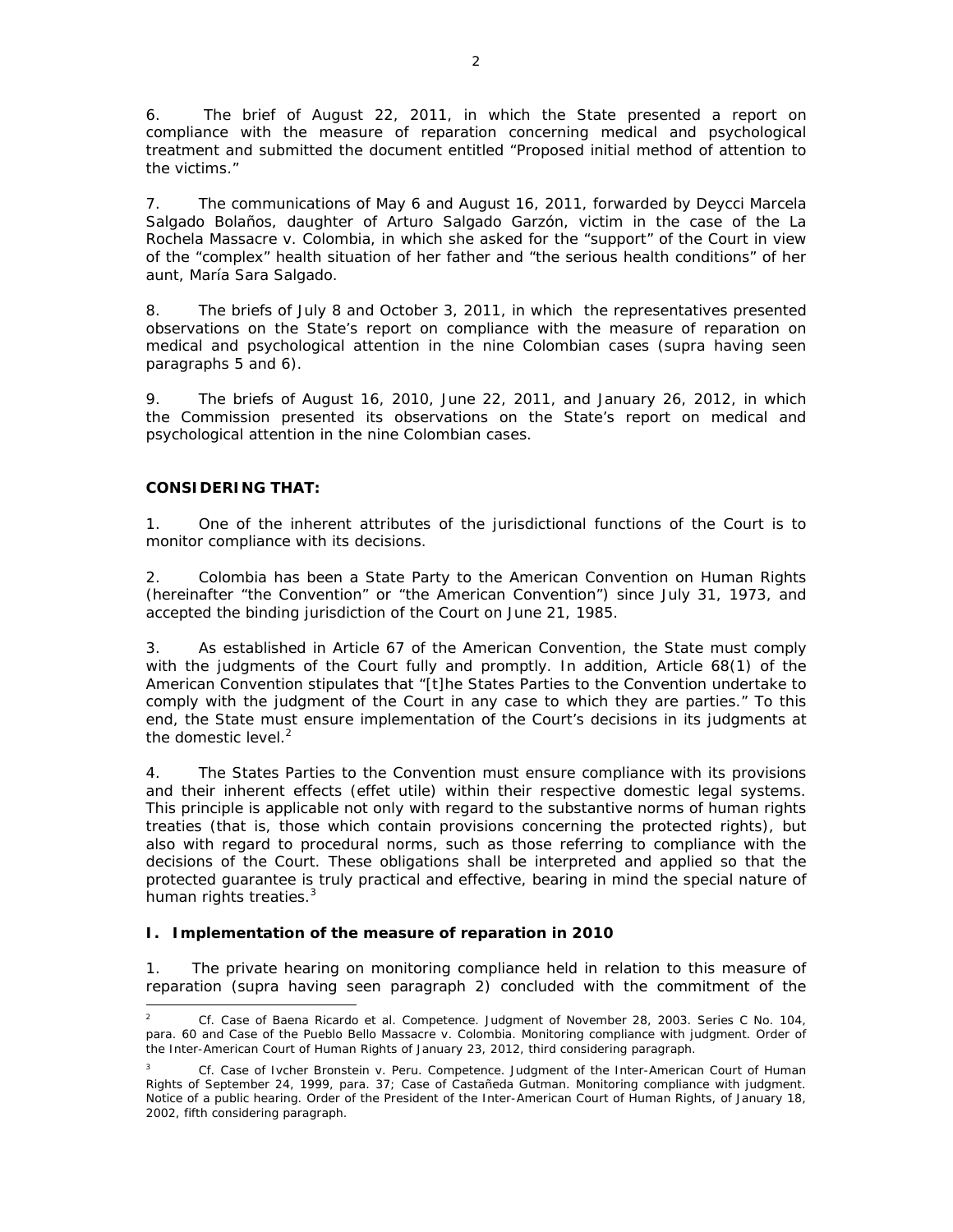6. The brief of August 22, 2011, in which the State presented a report on compliance with the measure of reparation concerning medical and psychological treatment and submitted the document entitled "Proposed initial method of attention to the victims."

7. The communications of May 6 and August 16, 2011, forwarded by Deycci Marcela Salgado Bolaños, daughter of Arturo Salgado Garzón, victim in the case of the *La Rochela Massacre v. Colombia*, in which she asked for the "support" of the Court in view of the "complex" health situation of her father and "the serious health conditions" of her aunt, María Sara Salgado.

8. The briefs of July 8 and October 3, 2011, in which the representatives presented observations on the State's report on compliance with the measure of reparation on medical and psychological attention in the nine Colombian cases (*supra* having seen paragraphs 5 and 6).

9. The briefs of August 16, 2010, June 22, 2011, and January 26, 2012, in which the Commission presented its observations on the State's report on medical and psychological attention in the nine Colombian cases.

# **CONSIDERING THAT:**

1. One of the inherent attributes of the jurisdictional functions of the Court is to monitor compliance with its decisions.

2. Colombia has been a State Party to the American Convention on Human Rights (hereinafter "the Convention" or "the American Convention") since July 31, 1973, and accepted the binding jurisdiction of the Court on June 21, 1985.

3. As established in Article 67 of the American Convention, the State must comply with the judgments of the Court fully and promptly. In addition, Article 68(1) of the American Convention stipulates that "[t]he States Parties to the Convention undertake to comply with the judgment of the Court in any case to which they are parties." To this end, the State must ensure implementation of the Court's decisions in its judgments at the domestic level. $2$ 

4. The States Parties to the Convention must ensure compliance with its provisions and their inherent effects (*effet utile*) within their respective domestic legal systems. This principle is applicable not only with regard to the substantive norms of human rights treaties (that is, those which contain provisions concerning the protected rights), but also with regard to procedural norms, such as those referring to compliance with the decisions of the Court. These obligations shall be interpreted and applied so that the protected guarantee is truly practical and effective, bearing in mind the special nature of human rights treaties.<sup>3</sup>

## *I. Implementation of the measure of reparation in 2010*

1. The private hearing on monitoring compliance held in relation to this measure of reparation (*supra* having seen paragraph 2) concluded with the commitment of the

 2 *Cf. Case of Baena Ricardo et al*. *Competence.* Judgment of November 28, 2003. Series C No. 104, para. 60 and *Case of the Pueblo Bello Massacre v. Colombia. Monitoring compliance with judgment.* Order of the Inter-American Court of Human Rights of January 23, 2012, third considering paragraph.

<sup>3</sup> *Cf. Case of Ivcher Bronstein v. Peru. Competence.* Judgment of the Inter-American Court of Human Rights of September 24, 1999, para. 37; *Case of Castañeda Gutman. Monitoring compliance with judgment*. Notice of a public hearing. Order of the President of the Inter-American Court of Human Rights, of January 18, 2002, fifth considering paragraph.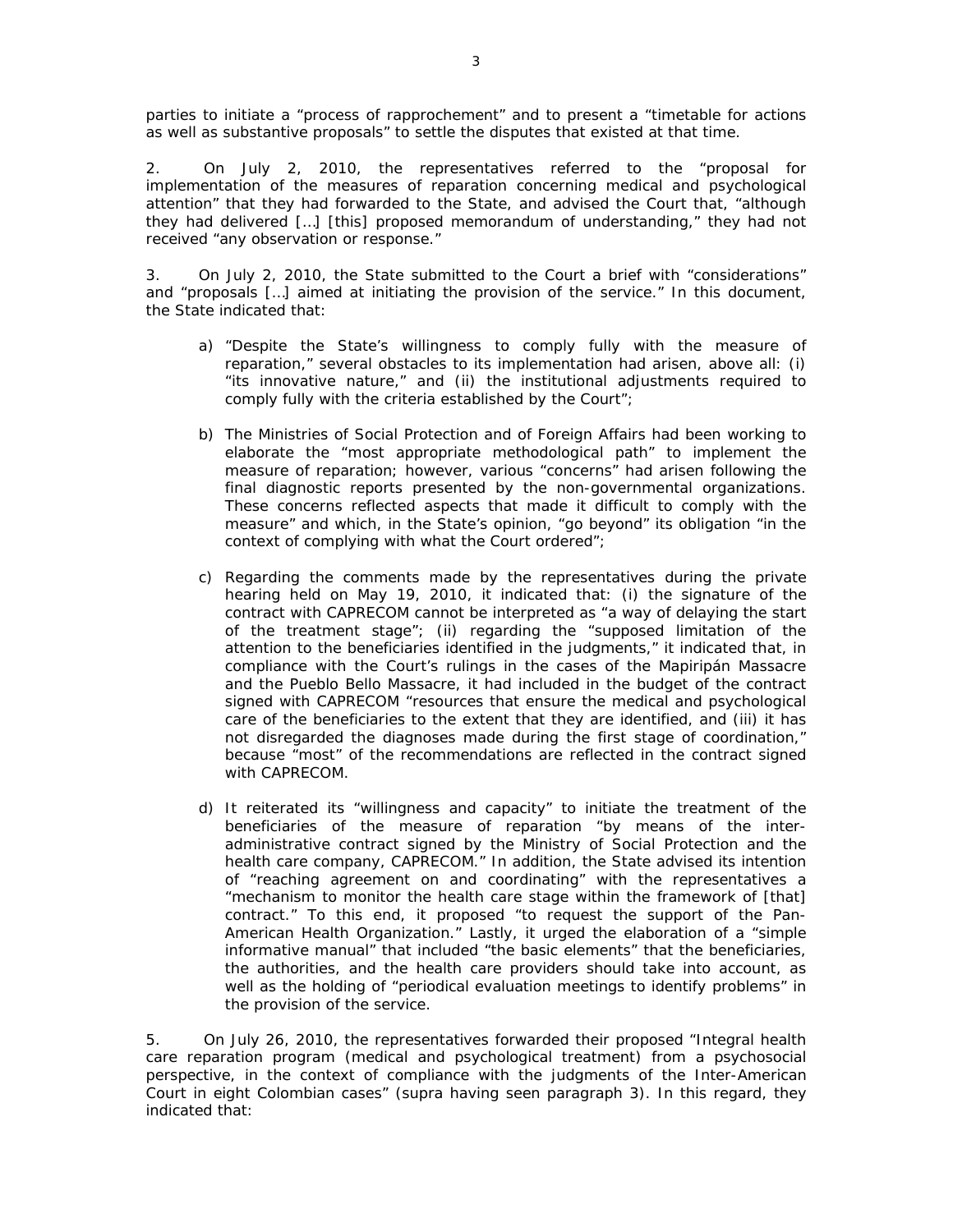parties to initiate a "process of *rapprochement*" and to present a "timetable for actions as well as substantive proposals" to settle the disputes that existed at that time.

2. On July 2, 2010, the representatives referred to the "proposal for implementation of the measures of reparation concerning medical and psychological attention" that they had forwarded to the State, and advised the Court that, "although they had delivered […] [this] proposed memorandum of understanding," they had not received "any observation or response."

3. On July 2, 2010, the State submitted to the Court a brief with "considerations" and "proposals […] aimed at initiating the provision of the service." In this document, the State indicated that:

- a) "Despite the State's willingness to comply fully with the measure of reparation," several obstacles to its implementation had arisen, above all: (i) "its innovative nature," and (ii) the institutional adjustments required to comply fully with the criteria established by the Court";
- b) The Ministries of Social Protection and of Foreign Affairs had been working to elaborate the "most appropriate methodological path" to implement the measure of reparation; however, various "concerns" had arisen following the final diagnostic reports presented by the non-governmental organizations. These concerns reflected aspects that made it difficult to comply with the measure" and which, in the State's opinion, "go beyond" its obligation "in the context of complying with what the Court ordered";
- c) Regarding the comments made by the representatives during the private hearing held on May 19, 2010, it indicated that: (i) the signature of the contract with CAPRECOM cannot be interpreted as "a way of delaying the start of the treatment stage"; (ii) regarding the "supposed limitation of the attention to the beneficiaries identified in the judgments," it indicated that, in compliance with the Court's rulings in the cases of the Mapiripán Massacre and the Pueblo Bello Massacre, it had included in the budget of the contract signed with CAPRECOM "resources that ensure the medical and psychological care of the beneficiaries to the extent that they are identified, and (iii) it has not disregarded the diagnoses made during the first stage of coordination," because "most" of the recommendations are reflected in the contract signed with CAPRECOM.
- d) It reiterated its "willingness and capacity" to initiate the treatment of the beneficiaries of the measure of reparation "by means of the interadministrative contract signed by the Ministry of Social Protection and the health care company, CAPRECOM." In addition, the State advised its intention of "reaching agreement on and coordinating" with the representatives a "mechanism to monitor the health care stage within the framework of [that] contract." To this end, it proposed "to request the support of the Pan-American Health Organization." Lastly, it urged the elaboration of a "simple informative manual" that included "the basic elements" that the beneficiaries, the authorities, and the health care providers should take into account, as well as the holding of "periodical evaluation meetings to identify problems" in the provision of the service.

5. On July 26, 2010, the representatives forwarded their proposed "Integral health care reparation program (medical and psychological treatment) from a psychosocial perspective, in the context of compliance with the judgments of the Inter-American Court in eight Colombian cases" (*supra* having seen paragraph 3). In this regard, they indicated that: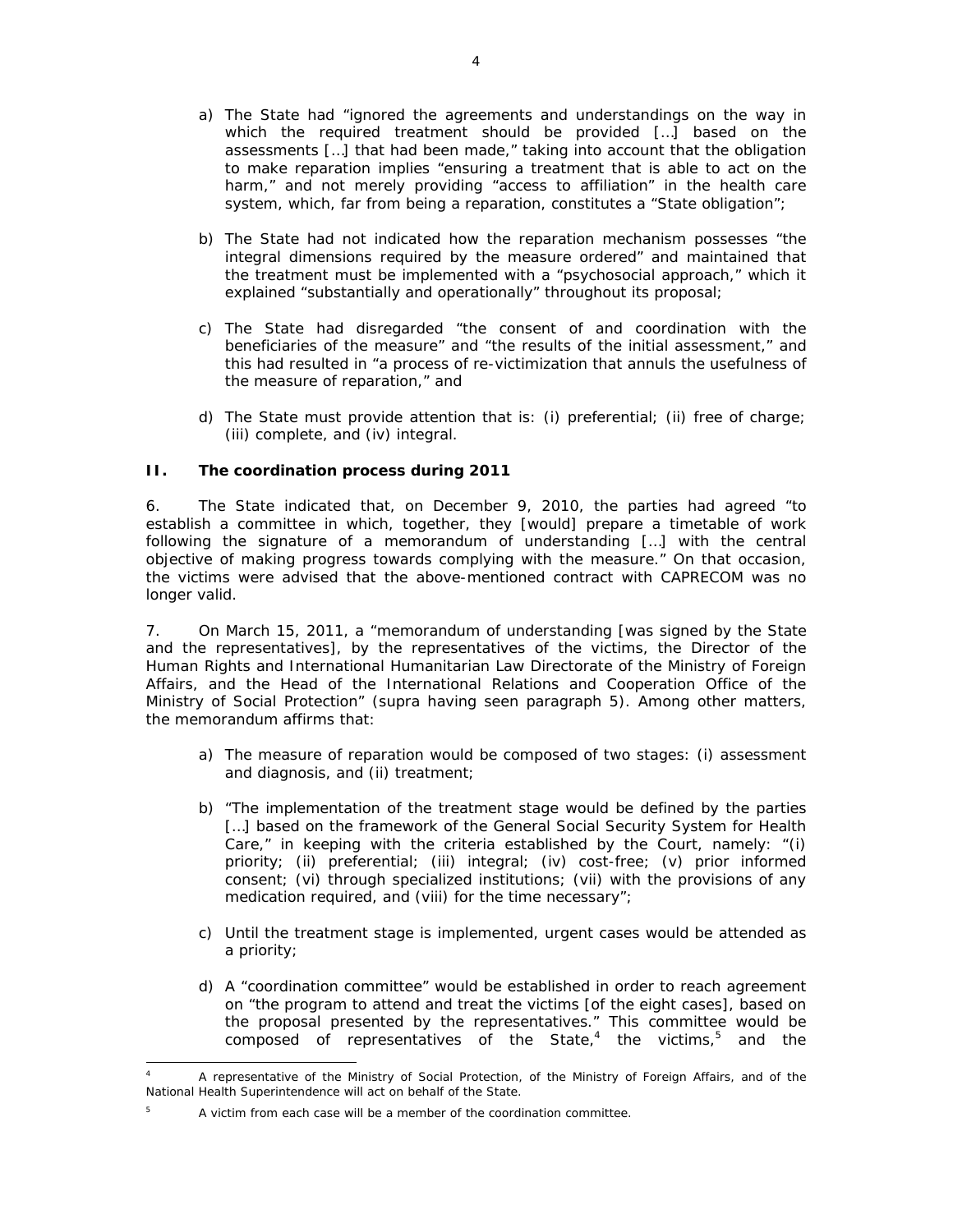- a) The State had "ignored the agreements and understandings on the way in which the required treatment should be provided […] based on the assessments […] that had been made," taking into account that the obligation to make reparation implies "ensuring a treatment that is able to act on the harm," and not merely providing "access to affiliation" in the health care system, which, far from being a reparation, constitutes a "State obligation";
- b) The State had not indicated how the reparation mechanism possesses "the integral dimensions required by the measure ordered" and maintained that the treatment must be implemented with a "psychosocial approach," which it explained "substantially and operationally" throughout its proposal;
- c) The State had disregarded "the consent of and coordination with the beneficiaries of the measure" and "the results of the initial assessment," and this had resulted in "a process of re-victimization that annuls the usefulness of the measure of reparation," and
- d) The State must provide attention that is: (i) preferential; (ii) free of charge; (iii) complete, and (iv) integral.

# *II. The coordination process during 2011*

6. The State indicated that, on December 9, 2010, the parties had agreed "to establish a committee in which, together, they [would] prepare a timetable of work following the signature of a memorandum of understanding […] with the central objective of making progress towards complying with the measure." On that occasion, the victims were advised that the above-mentioned contract with CAPRECOM was no longer valid.

7. On March 15, 2011, a "memorandum of understanding [was signed by the State and the representatives], by the representatives of the victims, the Director of the Human Rights and International Humanitarian Law Directorate of the Ministry of Foreign Affairs, and the Head of the International Relations and Cooperation Office of the Ministry of Social Protection" (*supra* having seen paragraph 5). Among other matters, the memorandum affirms that:

- a) The measure of reparation would be composed of two stages: (i) assessment and diagnosis, and (ii) treatment;
- b) "The implementation of the treatment stage would be defined by the parties [...] based on the framework of the General Social Security System for Health Care," in keeping with the criteria established by the Court, namely: "(i) priority; (ii) preferential; (iii) integral; (iv) cost-free; (v) prior informed consent; (vi) through specialized institutions; (vii) with the provisions of any medication required, and (viii) for the time necessary";
- c) Until the treatment stage is implemented, urgent cases would be attended as a priority;
- d) A "coordination committee" would be established in order to reach agreement on "the program to attend and treat the victims [of the eight cases], based on the proposal presented by the representatives." This committee would be composed of representatives of the State, $4$  the victims, $5$  and the

j

5

<sup>4</sup> A representative of the Ministry of Social Protection, of the Ministry of Foreign Affairs, and of the National Health Superintendence will act on behalf of the State.

A victim from each case will be a member of the coordination committee.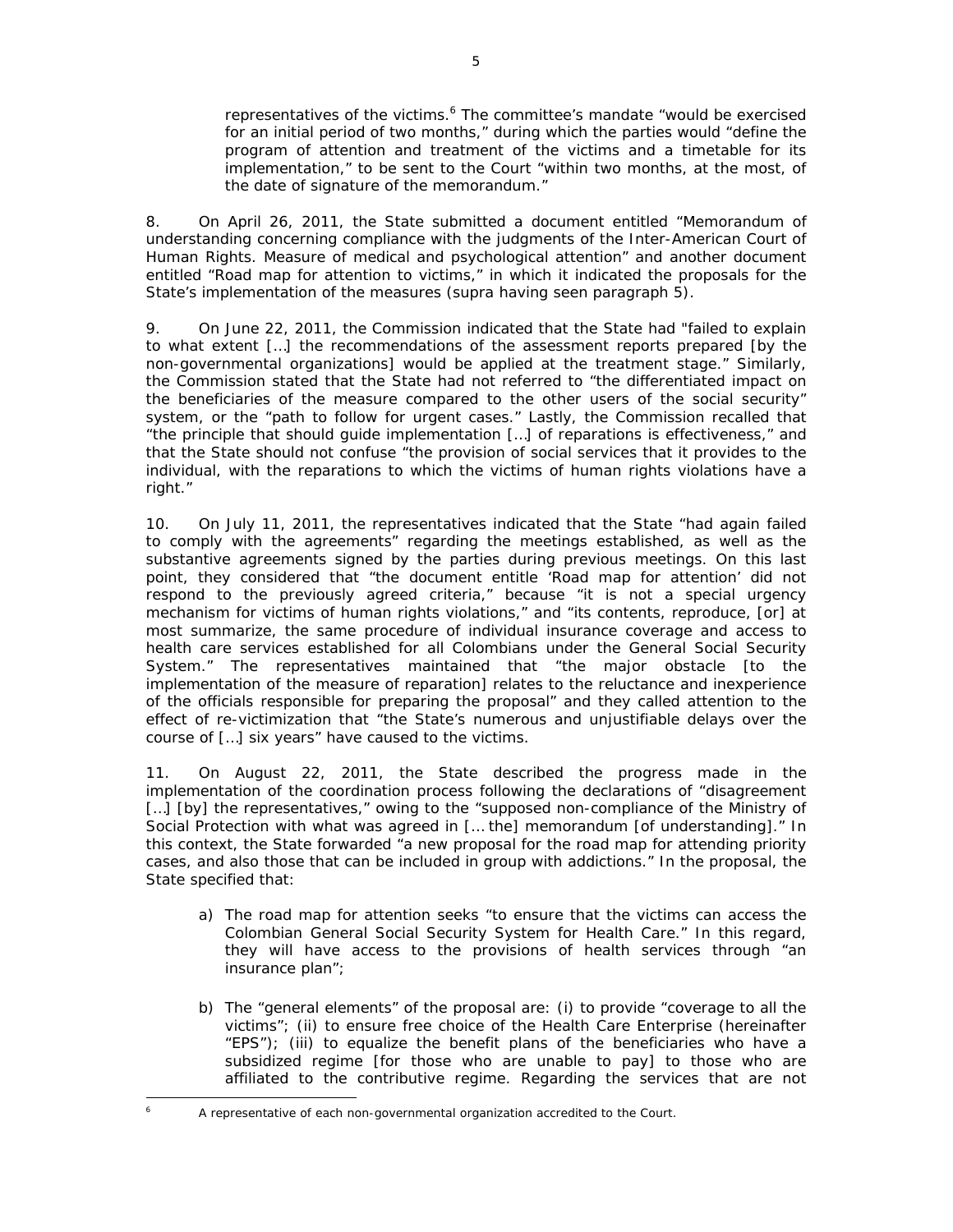representatives of the victims.<sup>6</sup> The committee's mandate "would be exercised for an initial period of two months," during which the parties would "define the program of attention and treatment of the victims and a timetable for its implementation," to be sent to the Court "within two months, at the most, of the date of signature of the memorandum."

8. On April 26, 2011, the State submitted a document entitled "Memorandum of understanding concerning compliance with the judgments of the Inter-American Court of Human Rights. Measure of medical and psychological attention" and another document entitled "Road map for attention to victims," in which it indicated the proposals for the State's implementation of the measures (*supra* having seen paragraph 5).

9. On June 22, 2011, the Commission indicated that the State had "failed to explain to what extent […] the recommendations of the assessment reports prepared [by the non-governmental organizations] would be applied at the treatment stage." Similarly, the Commission stated that the State had not referred to "the differentiated impact on the beneficiaries of the measure compared to the other users of the social security" system, or the "path to follow for urgent cases." Lastly, the Commission recalled that "the principle that should guide implementation […] of reparations is effectiveness," and that the State should not confuse "the provision of social services that it provides to the individual, with the reparations to which the victims of human rights violations have a right."

10. On July 11, 2011, the representatives indicated that the State "had again failed to comply with the agreements" regarding the meetings established, as well as the substantive agreements signed by the parties during previous meetings. On this last point, they considered that "the document entitle 'Road map for attention' did not respond to the previously agreed criteria," because "it is not a special urgency mechanism for victims of human rights violations," and "its contents, reproduce, [or] at most summarize, the same procedure of individual insurance coverage and access to health care services established for all Colombians under the General Social Security System." The representatives maintained that "the major obstacle [to the implementation of the measure of reparation] relates to the reluctance and inexperience of the officials responsible for preparing the proposal" and they called attention to the effect of re-victimization that "the State's numerous and unjustifiable delays over the course of […] six years" have caused to the victims.

11. On August 22, 2011, the State described the progress made in the implementation of the coordination process following the declarations of "disagreement [...] [by] the representatives," owing to the "supposed non-compliance of the Ministry of Social Protection with what was agreed in [… the] memorandum [of understanding]." In this context, the State forwarded "a new proposal for the road map for attending priority cases, and also those that can be included in group with addictions." In the proposal, the State specified that:

- a) The road map for attention seeks "to ensure that the victims can access the Colombian General Social Security System for Health Care." In this regard, they will have access to the provisions of health services through "an insurance plan";
- b) The "general elements" of the proposal are: (i) to provide "coverage to all the victims"; (ii) to ensure free choice of the Health Care Enterprise (hereinafter "EPS"); (iii) to equalize the benefit plans of the beneficiaries who have a subsidized regime [for those who are unable to pay] to those who are affiliated to the contributive regime. Regarding the services that are not

j 6

A representative of each non-governmental organization accredited to the Court.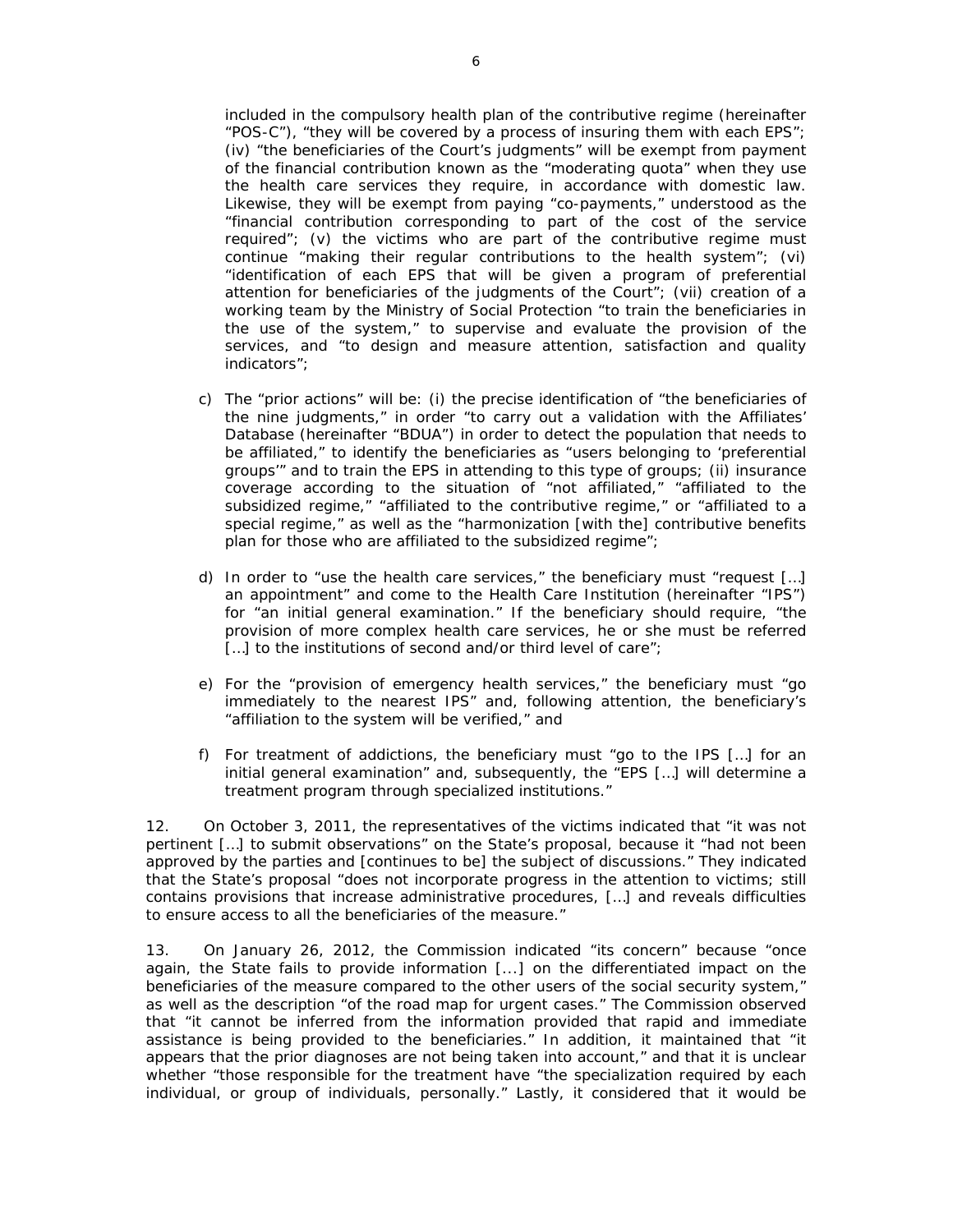included in the compulsory health plan of the contributive regime (hereinafter "POS-C"), "they will be covered by a process of insuring them with each  $EPS$ "; (iv) "the beneficiaries of the Court's judgments" will be exempt from payment of the financial contribution known as the "moderating quota" when they use the health care services they require, in accordance with domestic law. Likewise, they will be exempt from paying "co-payments," understood as the "financial contribution corresponding to part of the cost of the service required"; (v) the victims who are part of the contributive regime must continue "making their regular contributions to the health system"; (vi) "identification of each EPS that will be given a program of preferential attention for beneficiaries of the judgments of the Court"; (vii) creation of a working team by the Ministry of Social Protection "to train the beneficiaries in the use of the system," to supervise and evaluate the provision of the services, and "to design and measure attention, satisfaction and quality indicators";

- c) The "prior actions" will be: (i) the precise identification of "the beneficiaries of the nine judgments," in order "to carry out a validation with the Affiliates' Database (hereinafter "BDUA") in order to detect the population that needs to be affiliated," to identify the beneficiaries as "users belonging to 'preferential groups'" and to train the EPS in attending to this type of groups; (ii) insurance coverage according to the situation of "not affiliated," "affiliated to the subsidized regime," "affiliated to the contributive regime," or "affiliated to a special regime," as well as the "harmonization [with the] contributive benefits plan for those who are affiliated to the subsidized regime";
- d) In order to "use the health care services," the beneficiary must "request […] an appointment" and come to the Health Care Institution (hereinafter "IPS") for "an initial general examination." If the beneficiary should require, "the provision of more complex health care services, he or she must be referred [...] to the institutions of second and/or third level of care";
- e) For the "provision of emergency health services," the beneficiary must "go immediately to the nearest IPS" and, following attention, the beneficiary's "affiliation to the system will be verified," and
- f) For treatment of addictions, the beneficiary must "go to the IPS […] for an initial general examination" and, subsequently, the "EPS […] will determine a treatment program through specialized institutions."

12. On October 3, 2011, the representatives of the victims indicated that "it was not pertinent […] to submit observations" on the State's proposal, because it "had not been approved by the parties and [continues to be] the subject of discussions." They indicated that the State's proposal "does not incorporate progress in the attention to victims; still contains provisions that increase administrative procedures, […] and reveals difficulties to ensure access to all the beneficiaries of the measure."

13. On January 26, 2012, the Commission indicated "its concern" because "once again, the State fails to provide information [...] on the differentiated impact on the beneficiaries of the measure compared to the other users of the social security system," as well as the description "of the road map for urgent cases." The Commission observed that "it cannot be inferred from the information provided that rapid and immediate assistance is being provided to the beneficiaries." In addition, it maintained that "it appears that the prior diagnoses are not being taken into account," and that it is unclear whether "those responsible for the treatment have "the specialization required by each individual, or group of individuals, personally." Lastly, it considered that it would be